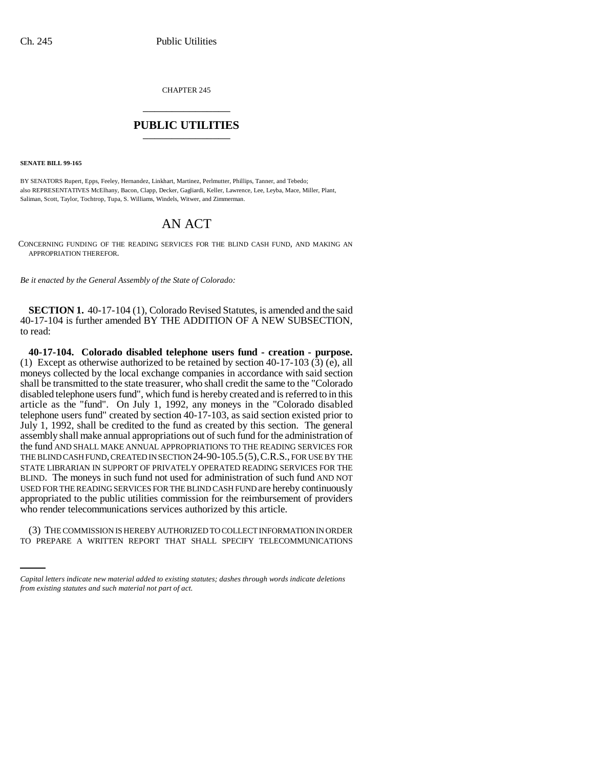CHAPTER 245 \_\_\_\_\_\_\_\_\_\_\_\_\_\_\_

## **PUBLIC UTILITIES** \_\_\_\_\_\_\_\_\_\_\_\_\_\_\_

**SENATE BILL 99-165**

BY SENATORS Rupert, Epps, Feeley, Hernandez, Linkhart, Martinez, Perlmutter, Phillips, Tanner, and Tebedo; also REPRESENTATIVES McElhany, Bacon, Clapp, Decker, Gagliardi, Keller, Lawrence, Lee, Leyba, Mace, Miller, Plant, Saliman, Scott, Taylor, Tochtrop, Tupa, S. Williams, Windels, Witwer, and Zimmerman.

## AN ACT

CONCERNING FUNDING OF THE READING SERVICES FOR THE BLIND CASH FUND, AND MAKING AN APPROPRIATION THEREFOR.

*Be it enacted by the General Assembly of the State of Colorado:*

**SECTION 1.** 40-17-104 (1), Colorado Revised Statutes, is amended and the said 40-17-104 is further amended BY THE ADDITION OF A NEW SUBSECTION, to read:

**40-17-104. Colorado disabled telephone users fund - creation - purpose.** (1) Except as otherwise authorized to be retained by section 40-17-103  $(\bar{3})$   $(\bar{e})$ , all moneys collected by the local exchange companies in accordance with said section shall be transmitted to the state treasurer, who shall credit the same to the "Colorado disabled telephone users fund", which fund is hereby created and is referred to in this article as the "fund". On July 1, 1992, any moneys in the "Colorado disabled telephone users fund" created by section 40-17-103, as said section existed prior to July 1, 1992, shall be credited to the fund as created by this section. The general assembly shall make annual appropriations out of such fund for the administration of the fund AND SHALL MAKE ANNUAL APPROPRIATIONS TO THE READING SERVICES FOR THE BLIND CASH FUND, CREATED IN SECTION 24-90-105.5(5),C.R.S., FOR USE BY THE STATE LIBRARIAN IN SUPPORT OF PRIVATELY OPERATED READING SERVICES FOR THE BLIND. The moneys in such fund not used for administration of such fund AND NOT USED FOR THE READING SERVICES FOR THE BLIND CASH FUND are hereby continuously appropriated to the public utilities commission for the reimbursement of providers who render telecommunications services authorized by this article.

(3) THE COMMISSION IS HEREBY AUTHORIZED TO COLLECT INFORMATION IN ORDER TO PREPARE A WRITTEN REPORT THAT SHALL SPECIFY TELECOMMUNICATIONS

*Capital letters indicate new material added to existing statutes; dashes through words indicate deletions from existing statutes and such material not part of act.*